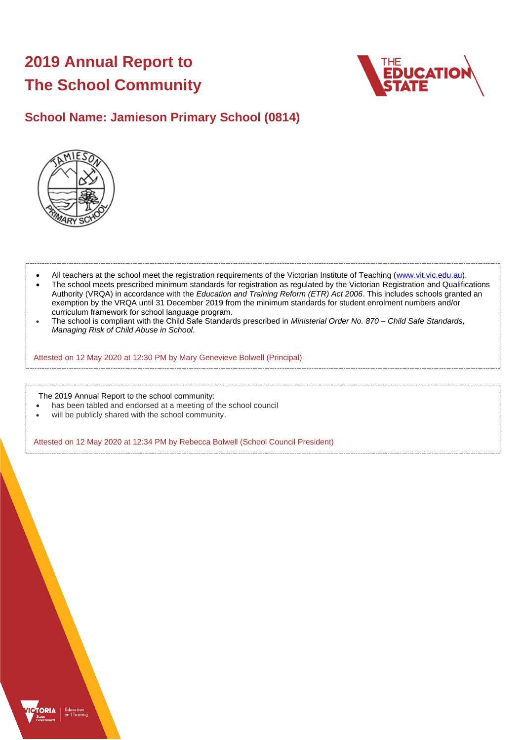# **2019 Annual Report to The School Community**



# **School Name: Jamieson Primary School (0814)**



- All teachers at the school meet the registration requirements of the Victorian Institute of Teaching (www.vit.vic.edu.au).
- The school meets prescribed minimum standards for registration as regulated by the Victorian Registration and Qualifications Authority (VRQA) in accordance with the *Education and Training Reform (ETR) Act 2006*. This includes schools granted an exemption by the VRQA until 31 December 2019 from the minimum standards for student enrolment numbers and/or curriculum framework for school language program.
- The school is compliant with the Child Safe Standards prescribed in *Ministerial Order No. 870 – Child Safe Standards, Managing Risk of Child Abuse in School*.

Attested on 12 May 2020 at 12:30 PM by Mary Genevieve Bolwell (Principal)

The 2019 Annual Report to the school community:

- has been tabled and endorsed at a meeting of the school council
- will be publicly shared with the school community.

Attested on 12 May 2020 at 12:34 PM by Rebecca Bolwell (School Council President)

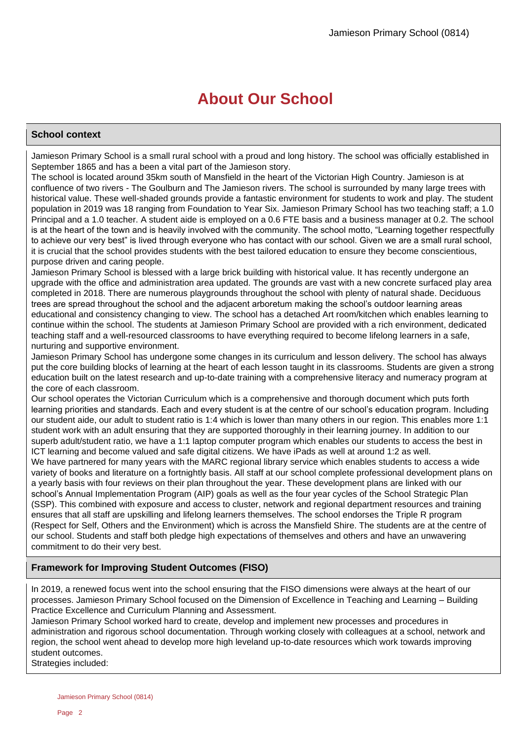# **About Our School**

# **School context**

Jamieson Primary School is a small rural school with a proud and long history. The school was officially established in September 1865 and has a been a vital part of the Jamieson story.

The school is located around 35km south of Mansfield in the heart of the Victorian High Country. Jamieson is at confluence of two rivers - The Goulburn and The Jamieson rivers. The school is surrounded by many large trees with historical value. These well-shaded grounds provide a fantastic environment for students to work and play. The student population in 2019 was 18 ranging from Foundation to Year Six. Jamieson Primary School has two teaching staff; a 1.0 Principal and a 1.0 teacher. A student aide is employed on a 0.6 FTE basis and a business manager at 0.2. The school is at the heart of the town and is heavily involved with the community. The school motto, "Learning together respectfully to achieve our very best" is lived through everyone who has contact with our school. Given we are a small rural school, it is crucial that the school provides students with the best tailored education to ensure they become conscientious, purpose driven and caring people.

Jamieson Primary School is blessed with a large brick building with historical value. It has recently undergone an upgrade with the office and administration area updated. The grounds are vast with a new concrete surfaced play area completed in 2018. There are numerous playgrounds throughout the school with plenty of natural shade. Deciduous trees are spread throughout the school and the adjacent arboretum making the school's outdoor learning areas educational and consistency changing to view. The school has a detached Art room/kitchen which enables learning to continue within the school. The students at Jamieson Primary School are provided with a rich environment, dedicated teaching staff and a well-resourced classrooms to have everything required to become lifelong learners in a safe, nurturing and supportive environment.

Jamieson Primary School has undergone some changes in its curriculum and lesson delivery. The school has always put the core building blocks of learning at the heart of each lesson taught in its classrooms. Students are given a strong education built on the latest research and up-to-date training with a comprehensive literacy and numeracy program at the core of each classroom.

Our school operates the Victorian Curriculum which is a comprehensive and thorough document which puts forth learning priorities and standards. Each and every student is at the centre of our school's education program. Including our student aide, our adult to student ratio is 1:4 which is lower than many others in our region. This enables more 1:1 student work with an adult ensuring that they are supported thoroughly in their learning journey. In addition to our superb adult/student ratio, we have a 1:1 laptop computer program which enables our students to access the best in ICT learning and become valued and safe digital citizens. We have iPads as well at around 1:2 as well. We have partnered for many years with the MARC regional library service which enables students to access a wide variety of books and literature on a fortnightly basis. All staff at our school complete professional development plans on a yearly basis with four reviews on their plan throughout the year. These development plans are linked with our school's Annual Implementation Program (AIP) goals as well as the four year cycles of the School Strategic Plan (SSP). This combined with exposure and access to cluster, network and regional department resources and training ensures that all staff are upskilling and lifelong learners themselves. The school endorses the Triple R program (Respect for Self, Others and the Environment) which is across the Mansfield Shire. The students are at the centre of our school. Students and staff both pledge high expectations of themselves and others and have an unwavering commitment to do their very best.

# **Framework for Improving Student Outcomes (FISO)**

In 2019, a renewed focus went into the school ensuring that the FISO dimensions were always at the heart of our processes. Jamieson Primary School focused on the Dimension of Excellence in Teaching and Learning – Building Practice Excellence and Curriculum Planning and Assessment.

Jamieson Primary School worked hard to create, develop and implement new processes and procedures in administration and rigorous school documentation. Through working closely with colleagues at a school, network and region, the school went ahead to develop more high leveland up-to-date resources which work towards improving student outcomes.

Strategies included: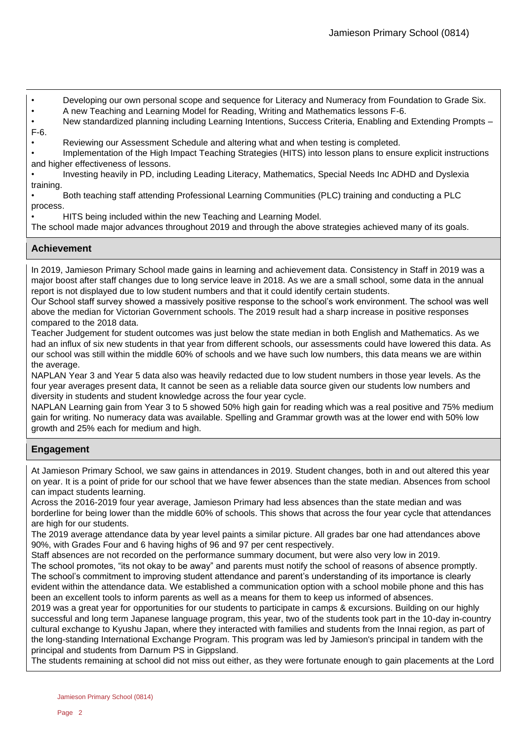- Developing our own personal scope and sequence for Literacy and Numeracy from Foundation to Grade Six.
- A new Teaching and Learning Model for Reading, Writing and Mathematics lessons F-6.

• New standardized planning including Learning Intentions, Success Criteria, Enabling and Extending Prompts – F-6.

• Reviewing our Assessment Schedule and altering what and when testing is completed.

• Implementation of the High Impact Teaching Strategies (HITS) into lesson plans to ensure explicit instructions and higher effectiveness of lessons.

• Investing heavily in PD, including Leading Literacy, Mathematics, Special Needs Inc ADHD and Dyslexia training.

• Both teaching staff attending Professional Learning Communities (PLC) training and conducting a PLC process.

• HITS being included within the new Teaching and Learning Model.

The school made major advances throughout 2019 and through the above strategies achieved many of its goals.

# **Achievement**

In 2019, Jamieson Primary School made gains in learning and achievement data. Consistency in Staff in 2019 was a major boost after staff changes due to long service leave in 2018. As we are a small school, some data in the annual report is not displayed due to low student numbers and that it could identify certain students.

Our School staff survey showed a massively positive response to the school's work environment. The school was well above the median for Victorian Government schools. The 2019 result had a sharp increase in positive responses compared to the 2018 data.

Teacher Judgement for student outcomes was just below the state median in both English and Mathematics. As we had an influx of six new students in that year from different schools, our assessments could have lowered this data. As our school was still within the middle 60% of schools and we have such low numbers, this data means we are within the average.

NAPLAN Year 3 and Year 5 data also was heavily redacted due to low student numbers in those year levels. As the four year averages present data, It cannot be seen as a reliable data source given our students low numbers and diversity in students and student knowledge across the four year cycle.

NAPLAN Learning gain from Year 3 to 5 showed 50% high gain for reading which was a real positive and 75% medium gain for writing. No numeracy data was available. Spelling and Grammar growth was at the lower end with 50% low growth and 25% each for medium and high.

# **Engagement**

At Jamieson Primary School, we saw gains in attendances in 2019. Student changes, both in and out altered this year on year. It is a point of pride for our school that we have fewer absences than the state median. Absences from school can impact students learning.

Across the 2016-2019 four year average, Jamieson Primary had less absences than the state median and was borderline for being lower than the middle 60% of schools. This shows that across the four year cycle that attendances are high for our students.

The 2019 average attendance data by year level paints a similar picture. All grades bar one had attendances above 90%, with Grades Four and 6 having highs of 96 and 97 per cent respectively.

Staff absences are not recorded on the performance summary document, but were also very low in 2019.

The school promotes, "its not okay to be away" and parents must notify the school of reasons of absence promptly. The school's commitment to improving student attendance and parent's understanding of its importance is clearly evident within the attendance data. We established a communication option with a school mobile phone and this has been an excellent tools to inform parents as well as a means for them to keep us informed of absences.

2019 was a great year for opportunities for our students to participate in camps & excursions. Building on our highly successful and long term Japanese language program, this year, two of the students took part in the 10-day in-country cultural exchange to Kyushu Japan, where they interacted with families and students from the Innai region, as part of the long-standing International Exchange Program. This program was led by Jamieson's principal in tandem with the principal and students from Darnum PS in Gippsland.

The students remaining at school did not miss out either, as they were fortunate enough to gain placements at the Lord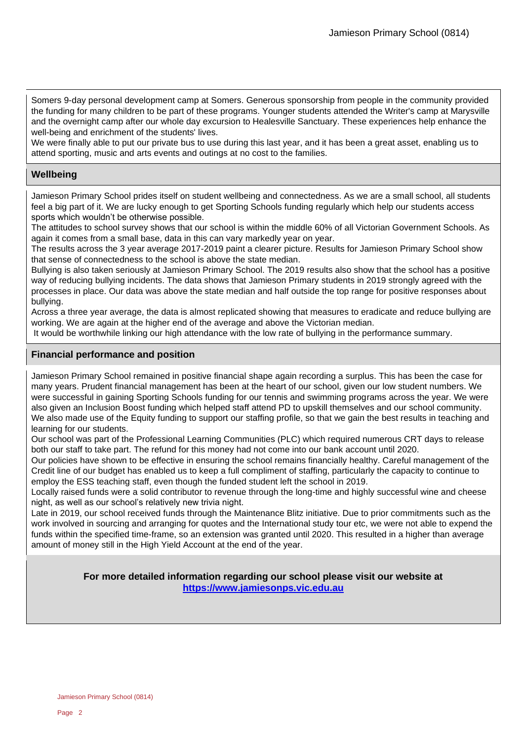Somers 9-day personal development camp at Somers. Generous sponsorship from people in the community provided the funding for many children to be part of these programs. Younger students attended the Writer's camp at Marysville and the overnight camp after our whole day excursion to Healesville Sanctuary. These experiences help enhance the well-being and enrichment of the students' lives.

We were finally able to put our private bus to use during this last year, and it has been a great asset, enabling us to attend sporting, music and arts events and outings at no cost to the families.

# **Wellbeing**

Jamieson Primary School prides itself on student wellbeing and connectedness. As we are a small school, all students feel a big part of it. We are lucky enough to get Sporting Schools funding regularly which help our students access sports which wouldn't be otherwise possible.

The attitudes to school survey shows that our school is within the middle 60% of all Victorian Government Schools. As again it comes from a small base, data in this can vary markedly year on year.

The results across the 3 year average 2017-2019 paint a clearer picture. Results for Jamieson Primary School show that sense of connectedness to the school is above the state median.

Bullying is also taken seriously at Jamieson Primary School. The 2019 results also show that the school has a positive way of reducing bullying incidents. The data shows that Jamieson Primary students in 2019 strongly agreed with the processes in place. Our data was above the state median and half outside the top range for positive responses about bullying.

Across a three year average, the data is almost replicated showing that measures to eradicate and reduce bullying are working. We are again at the higher end of the average and above the Victorian median.

It would be worthwhile linking our high attendance with the low rate of bullying in the performance summary.

# **Financial performance and position**

Jamieson Primary School remained in positive financial shape again recording a surplus. This has been the case for many years. Prudent financial management has been at the heart of our school, given our low student numbers. We were successful in gaining Sporting Schools funding for our tennis and swimming programs across the year. We were also given an Inclusion Boost funding which helped staff attend PD to upskill themselves and our school community. We also made use of the Equity funding to support our staffing profile, so that we gain the best results in teaching and learning for our students.

Our school was part of the Professional Learning Communities (PLC) which required numerous CRT days to release both our staff to take part. The refund for this money had not come into our bank account until 2020.

Our policies have shown to be effective in ensuring the school remains financially healthy. Careful management of the Credit line of our budget has enabled us to keep a full compliment of staffing, particularly the capacity to continue to employ the ESS teaching staff, even though the funded student left the school in 2019.

Locally raised funds were a solid contributor to revenue through the long-time and highly successful wine and cheese night, as well as our school's relatively new trivia night.

Late in 2019, our school received funds through the Maintenance Blitz initiative. Due to prior commitments such as the work involved in sourcing and arranging for quotes and the International study tour etc, we were not able to expend the funds within the specified time-frame, so an extension was granted until 2020. This resulted in a higher than average amount of money still in the High Yield Account at the end of the year.

> **For more detailed information regarding our school please visit our website at https://www.jamiesonps.vic.edu.au**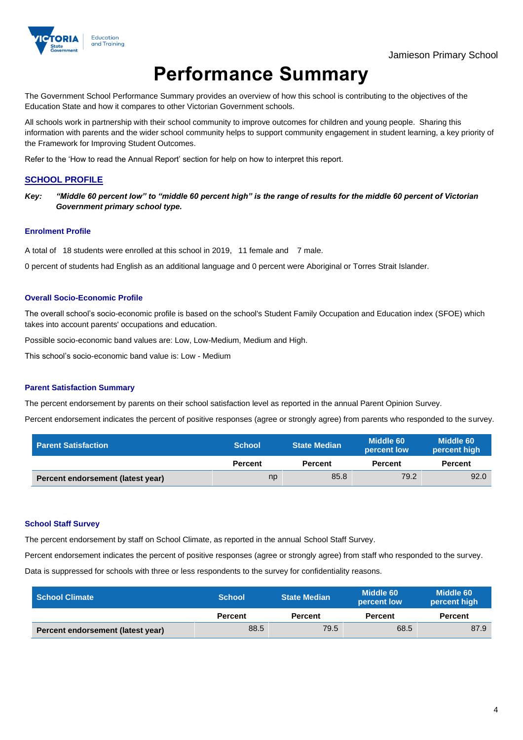

# **Performance Summary**

The Government School Performance Summary provides an overview of how this school is contributing to the objectives of the Education State and how it compares to other Victorian Government schools.

All schools work in partnership with their school community to improve outcomes for children and young people. Sharing this information with parents and the wider school community helps to support community engagement in student learning, a key priority of the Framework for Improving Student Outcomes.

Refer to the 'How to read the Annual Report' section for help on how to interpret this report.

## **SCHOOL PROFILE**

*Key: "Middle 60 percent low" to "middle 60 percent high" is the range of results for the middle 60 percent of Victorian Government primary school type.*

#### **Enrolment Profile**

A total of 18 students were enrolled at this school in 2019, 11 female and 7 male.

0 percent of students had English as an additional language and 0 percent were Aboriginal or Torres Strait Islander.

#### **Overall Socio-Economic Profile**

The overall school's socio-economic profile is based on the school's Student Family Occupation and Education index (SFOE) which takes into account parents' occupations and education.

Possible socio-economic band values are: Low, Low-Medium, Medium and High.

This school's socio-economic band value is: Low - Medium

#### **Parent Satisfaction Summary**

The percent endorsement by parents on their school satisfaction level as reported in the annual Parent Opinion Survey.

Percent endorsement indicates the percent of positive responses (agree or strongly agree) from parents who responded to the survey.

| <b>Parent Satisfaction</b>        | <b>School</b>  | <b>State Median</b> | Middle 60<br>percent low |                |
|-----------------------------------|----------------|---------------------|--------------------------|----------------|
|                                   | <b>Percent</b> | <b>Percent</b>      | <b>Percent</b>           | <b>Percent</b> |
| Percent endorsement (latest year) | np             | 85.8                | 79.2                     | 92.0           |

#### **School Staff Survey**

The percent endorsement by staff on School Climate, as reported in the annual School Staff Survey.

Percent endorsement indicates the percent of positive responses (agree or strongly agree) from staff who responded to the survey.

Data is suppressed for schools with three or less respondents to the survey for confidentiality reasons.

| <b>School Climate</b>             | <b>School</b>  | Middle 60<br><b>State Median</b><br>percent low |                | Middle 60<br>percent high |
|-----------------------------------|----------------|-------------------------------------------------|----------------|---------------------------|
|                                   | <b>Percent</b> | <b>Percent</b>                                  | <b>Percent</b> | <b>Percent</b>            |
| Percent endorsement (latest year) | 88.5           | 79.5                                            | 68.5           | 87.9                      |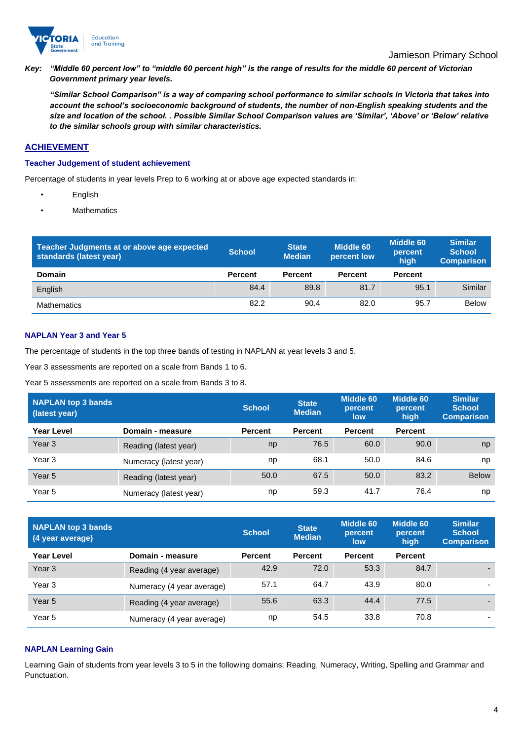

*Key: "Middle 60 percent low" to "middle 60 percent high" is the range of results for the middle 60 percent of Victorian Government primary year levels.*

*"Similar School Comparison" is a way of comparing school performance to similar schools in Victoria that takes into account the school's socioeconomic background of students, the number of non-English speaking students and the size and location of the school. . Possible Similar School Comparison values are 'Similar', 'Above' or 'Below' relative to the similar schools group with similar characteristics.* 

# **ACHIEVEMENT**

### **Teacher Judgement of student achievement**

Percentage of students in year levels Prep to 6 working at or above age expected standards in:

- English
- **Mathematics**

| Teacher Judgments at or above age expected<br>standards (latest year) | <b>School</b>  | <b>State</b><br><b>Median</b> | <b>Middle 60</b><br>percent low | <b>Middle 60</b><br>percent<br>hiah | <b>Similar</b><br><b>School</b><br><b>Comparison</b> |
|-----------------------------------------------------------------------|----------------|-------------------------------|---------------------------------|-------------------------------------|------------------------------------------------------|
| <b>Domain</b>                                                         | <b>Percent</b> | <b>Percent</b>                | <b>Percent</b>                  | <b>Percent</b>                      |                                                      |
| English                                                               | 84.4           | 89.8                          | 81.7                            | 95.1                                | Similar                                              |
| <b>Mathematics</b>                                                    | 82.2           | 90.4                          | 82.0                            | 95.7                                | <b>Below</b>                                         |

### **NAPLAN Year 3 and Year 5**

The percentage of students in the top three bands of testing in NAPLAN at year levels 3 and 5.

Year 3 assessments are reported on a scale from Bands 1 to 6.

Year 5 assessments are reported on a scale from Bands 3 to 8.

| <b>NAPLAN top 3 bands</b><br>(latest year) |                        | <b>School</b>  | <b>State</b><br><b>Median</b> | <b>Middle 60</b><br>percent<br>low | <b>Middle 60</b><br>percent<br>high | <b>Similar</b><br><b>School</b><br><b>Comparison</b> |
|--------------------------------------------|------------------------|----------------|-------------------------------|------------------------------------|-------------------------------------|------------------------------------------------------|
| Year Level                                 | Domain - measure       | <b>Percent</b> | <b>Percent</b>                | <b>Percent</b>                     | <b>Percent</b>                      |                                                      |
| Year <sub>3</sub>                          | Reading (latest year)  | np             | 76.5                          | 60.0                               | 90.0                                | np                                                   |
| Year 3                                     | Numeracy (latest year) | np             | 68.1                          | 50.0                               | 84.6                                | np                                                   |
| Year <sub>5</sub>                          | Reading (latest year)  | 50.0           | 67.5                          | 50.0                               | 83.2                                | <b>Below</b>                                         |
| Year 5                                     | Numeracy (latest year) | np             | 59.3                          | 41.7                               | 76.4                                | np                                                   |

| <b>NAPLAN top 3 bands</b><br>(4 year average) |                           | <b>School</b>  | <b>State</b><br><b>Median</b> | <b>Middle 60</b><br>percent<br>low | <b>Middle 60</b><br>percent<br>high | <b>Similar</b><br><b>School</b><br><b>Comparison</b> |
|-----------------------------------------------|---------------------------|----------------|-------------------------------|------------------------------------|-------------------------------------|------------------------------------------------------|
| <b>Year Level</b>                             | Domain - measure          | <b>Percent</b> | <b>Percent</b>                | <b>Percent</b>                     | <b>Percent</b>                      |                                                      |
| Year <sub>3</sub>                             | Reading (4 year average)  | 42.9           | 72.0                          | 53.3                               | 84.7                                |                                                      |
| Year 3                                        | Numeracy (4 year average) | 57.1           | 64.7                          | 43.9                               | 80.0                                |                                                      |
| Year <sub>5</sub>                             | Reading (4 year average)  | 55.6           | 63.3                          | 44.4                               | 77.5                                |                                                      |
| Year 5                                        | Numeracy (4 year average) | np             | 54.5                          | 33.8                               | 70.8                                | ۰                                                    |

### **NAPLAN Learning Gain**

Learning Gain of students from year levels 3 to 5 in the following domains; Reading, Numeracy, Writing, Spelling and Grammar and Punctuation.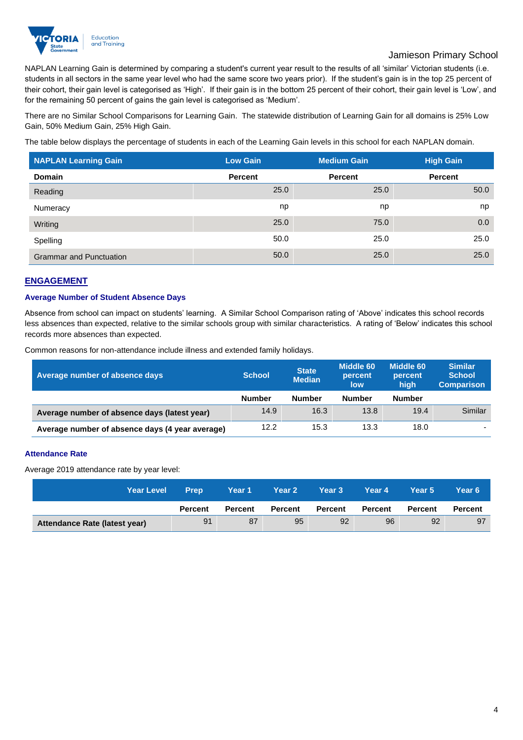

# Jamieson Primary School

NAPLAN Learning Gain is determined by comparing a student's current year result to the results of all 'similar' Victorian students (i.e. students in all sectors in the same year level who had the same score two years prior). If the student's gain is in the top 25 percent of their cohort, their gain level is categorised as 'High'. If their gain is in the bottom 25 percent of their cohort, their gain level is 'Low', and for the remaining 50 percent of gains the gain level is categorised as 'Medium'.

There are no Similar School Comparisons for Learning Gain. The statewide distribution of Learning Gain for all domains is 25% Low Gain, 50% Medium Gain, 25% High Gain.

The table below displays the percentage of students in each of the Learning Gain levels in this school for each NAPLAN domain.

| <b>NAPLAN Learning Gain</b>    | <b>Low Gain</b> | <b>Medium Gain</b> | <b>High Gain</b> |
|--------------------------------|-----------------|--------------------|------------------|
| <b>Domain</b>                  | <b>Percent</b>  | <b>Percent</b>     | <b>Percent</b>   |
| Reading                        | 25.0            | 25.0               | 50.0             |
| Numeracy                       | np              | np                 | np               |
| Writing                        | 25.0            | 75.0               | 0.0              |
| Spelling                       | 50.0            | 25.0               | 25.0             |
| <b>Grammar and Punctuation</b> | 50.0            | 25.0               | 25.0             |

# **ENGAGEMENT**

### **Average Number of Student Absence Days**

Absence from school can impact on students' learning. A Similar School Comparison rating of 'Above' indicates this school records less absences than expected, relative to the similar schools group with similar characteristics. A rating of 'Below' indicates this school records more absences than expected.

Common reasons for non-attendance include illness and extended family holidays.

| Average number of absence days                  | <b>School</b> | <b>State</b><br><b>Median</b> | <b>Middle 60</b><br>percent<br>low | Middle 60<br>percent<br>high | <b>Similar</b><br><b>School</b><br><b>Comparison</b> |
|-------------------------------------------------|---------------|-------------------------------|------------------------------------|------------------------------|------------------------------------------------------|
|                                                 | <b>Number</b> | <b>Number</b>                 | <b>Number</b>                      | <b>Number</b>                |                                                      |
| Average number of absence days (latest year)    | 14.9          | 16.3                          | 13.8                               | 19.4                         | Similar                                              |
| Average number of absence days (4 year average) | 12.2          | 15.3                          | 13.3                               | 18.0                         | $\overline{\phantom{a}}$                             |

### **Attendance Rate**

Average 2019 attendance rate by year level:

| <b>Year Level</b>             | <b>Prep</b>    | Year 1         | Year 2         | Year 3         | Year 4  | Year 5         | Year 6         |
|-------------------------------|----------------|----------------|----------------|----------------|---------|----------------|----------------|
|                               | <b>Percent</b> | <b>Percent</b> | <b>Percent</b> | <b>Percent</b> | Percent | <b>Percent</b> | <b>Percent</b> |
| Attendance Rate (latest year) | 91             | 87             | 95             | 92             | 96      | 92             | 97             |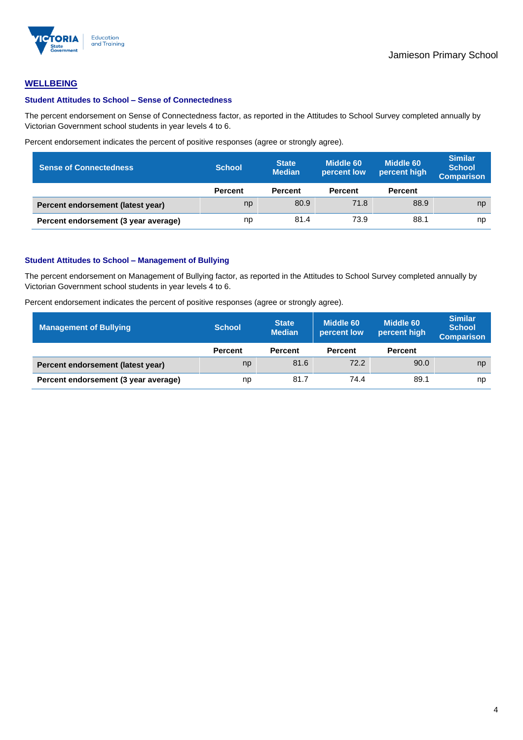

## **WELLBEING**

#### **Student Attitudes to School – Sense of Connectedness**

The percent endorsement on Sense of Connectedness factor, as reported in the Attitudes to School Survey completed annually by Victorian Government school students in year levels 4 to 6.

Percent endorsement indicates the percent of positive responses (agree or strongly agree).

| <b>Sense of Connectedness</b>        | <b>School</b>  | <b>State</b><br><b>Median</b> | Middle 60<br>percent low | <b>Middle 60</b><br>percent high | <b>Similar</b><br><b>School</b><br><b>Comparison</b> |
|--------------------------------------|----------------|-------------------------------|--------------------------|----------------------------------|------------------------------------------------------|
|                                      | <b>Percent</b> | <b>Percent</b>                | <b>Percent</b>           | <b>Percent</b>                   |                                                      |
| Percent endorsement (latest year)    | np             | 80.9                          | 71.8                     | 88.9                             | np                                                   |
| Percent endorsement (3 year average) | np             | 81.4                          | 73.9                     | 88.1                             | np                                                   |

#### **Student Attitudes to School – Management of Bullying**

The percent endorsement on Management of Bullying factor, as reported in the Attitudes to School Survey completed annually by Victorian Government school students in year levels 4 to 6.

Percent endorsement indicates the percent of positive responses (agree or strongly agree).

| Management of Bullying               | <b>School</b>  | <b>State</b><br><b>Median</b> | Middle 60<br>percent low | Middle 60<br>percent high | <b>Similar</b><br><b>School</b><br><b>Comparison</b> |
|--------------------------------------|----------------|-------------------------------|--------------------------|---------------------------|------------------------------------------------------|
|                                      | <b>Percent</b> | <b>Percent</b>                | <b>Percent</b>           | <b>Percent</b>            |                                                      |
| Percent endorsement (latest year)    | np             | 81.6                          | 72.2                     | 90.0                      | np                                                   |
| Percent endorsement (3 year average) | np             | 81.7                          | 74.4                     | 89.1                      | np                                                   |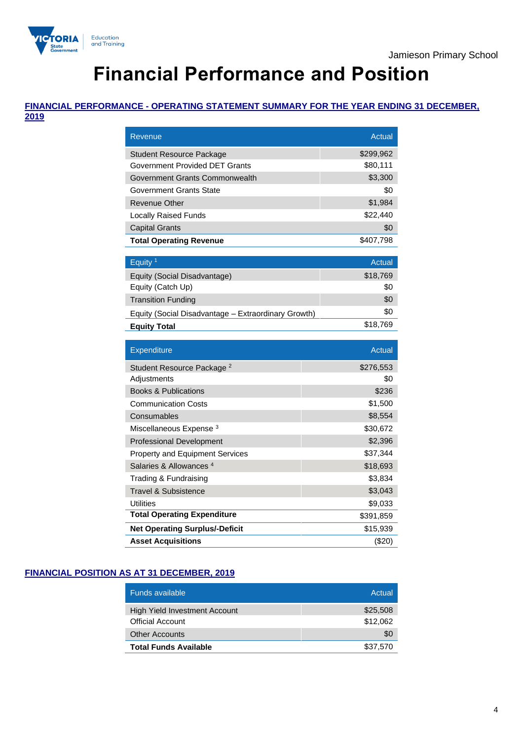

# **Financial Performance and Position**

# **FINANCIAL PERFORMANCE - OPERATING STATEMENT SUMMARY FOR THE YEAR ENDING 31 DECEMBER,**

**2019**

| Revenue                                             | <b>Actual</b> |
|-----------------------------------------------------|---------------|
| <b>Student Resource Package</b>                     | \$299,962     |
| Government Provided DET Grants                      | \$80,111      |
| Government Grants Commonwealth                      | \$3,300       |
| Government Grants State                             | \$0           |
| Revenue Other                                       | \$1,984       |
| <b>Locally Raised Funds</b>                         | \$22,440      |
| <b>Capital Grants</b>                               | \$0           |
| <b>Total Operating Revenue</b>                      | \$407,798     |
|                                                     |               |
| Equity <sup>1</sup>                                 | <b>Actual</b> |
| Equity (Social Disadvantage)                        | \$18,769      |
| Equity (Catch Up)                                   | \$0           |
| <b>Transition Funding</b>                           | \$0           |
| Equity (Social Disadvantage - Extraordinary Growth) | \$0           |
| <b>Equity Total</b>                                 | \$18,769      |
|                                                     |               |
|                                                     |               |
| Expenditure                                         | Actual        |
| Student Resource Package <sup>2</sup>               | \$276,553     |
| Adjustments                                         | \$0           |
| <b>Books &amp; Publications</b>                     | \$236         |
| <b>Communication Costs</b>                          | \$1,500       |
| Consumables                                         | \$8,554       |
| Miscellaneous Expense <sup>3</sup>                  | \$30,672      |
| <b>Professional Development</b>                     | \$2,396       |
| <b>Property and Equipment Services</b>              | \$37,344      |
| Salaries & Allowances <sup>4</sup>                  | \$18,693      |
| Trading & Fundraising                               | \$3,834       |
| <b>Travel &amp; Subsistence</b>                     | \$3,043       |
| <b>Utilities</b>                                    | \$9,033       |
| <b>Total Operating Expenditure</b>                  | \$391,859     |
| <b>Net Operating Surplus/-Deficit</b>               | \$15,939      |

# **FINANCIAL POSITION AS AT 31 DECEMBER, 2019**

| Funds available               | Actual   |
|-------------------------------|----------|
| High Yield Investment Account | \$25,508 |
| <b>Official Account</b>       | \$12,062 |
| <b>Other Accounts</b>         | \$0      |
| <b>Total Funds Available</b>  | \$37,570 |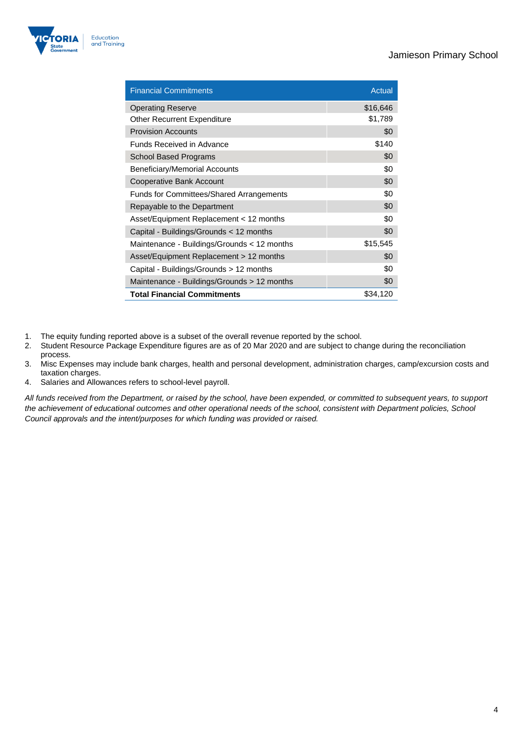

| <b>Financial Commitments</b>                    | Actual   |
|-------------------------------------------------|----------|
| <b>Operating Reserve</b>                        | \$16,646 |
| <b>Other Recurrent Expenditure</b>              | \$1,789  |
| <b>Provision Accounts</b>                       | \$0      |
| Funds Received in Advance                       | \$140    |
| School Based Programs                           | \$0      |
| <b>Beneficiary/Memorial Accounts</b>            | \$0      |
| Cooperative Bank Account                        | \$0      |
| <b>Funds for Committees/Shared Arrangements</b> | \$0      |
| Repayable to the Department                     | \$0      |
| Asset/Equipment Replacement < 12 months         | \$0      |
| Capital - Buildings/Grounds < 12 months         | \$0      |
| Maintenance - Buildings/Grounds < 12 months     | \$15,545 |
| Asset/Equipment Replacement > 12 months         | \$0      |
| Capital - Buildings/Grounds > 12 months         | \$0      |
| Maintenance - Buildings/Grounds > 12 months     | \$0      |
| <b>Total Financial Commitments</b>              | \$34,120 |

- 1. The equity funding reported above is a subset of the overall revenue reported by the school.<br>2. Student Resource Package Expenditure figures are as of 20 Mar 2020 and are subject to ch
- Student Resource Package Expenditure figures are as of 20 Mar 2020 and are subject to change during the reconciliation process.
- 3. Misc Expenses may include bank charges, health and personal development, administration charges, camp/excursion costs and taxation charges.
- 4. Salaries and Allowances refers to school-level payroll.

*All funds received from the Department, or raised by the school, have been expended, or committed to subsequent years, to support the achievement of educational outcomes and other operational needs of the school, consistent with Department policies, School Council approvals and the intent/purposes for which funding was provided or raised.*